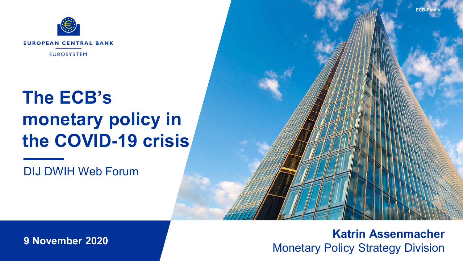

# **The ECB's monetary policy in the COVID-19 crisis**

DIJ DWIH Web Forum



**9 November 2020**

### **Katrin Assenmacher**  Monetary Policy Strategy Division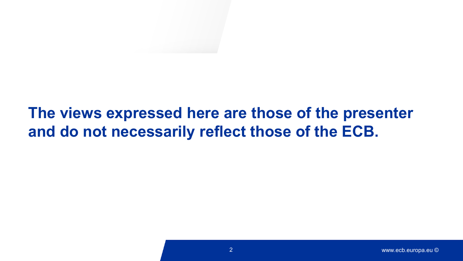## **The views expressed here are those of the presenter and do not necessarily reflect those of the ECB.**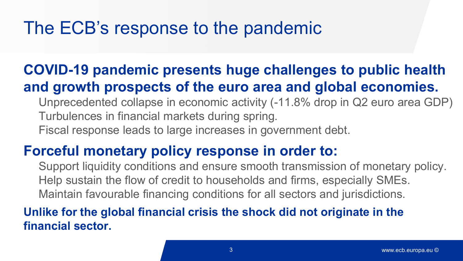# The ECB's response to the pandemic

### **COVID-19 pandemic presents huge challenges to public health and growth prospects of the euro area and global economies.**

- Unprecedented collapse in economic activity (-11.8% drop in Q2 euro area GDP) Turbulences in financial markets during spring.
- Fiscal response leads to large increases in government debt.

### **Forceful monetary policy response in order to:**

Support liquidity conditions and ensure smooth transmission of monetary policy. Help sustain the flow of credit to households and firms, especially SMEs. Maintain favourable financing conditions for all sectors and jurisdictions.

### **Unlike for the global financial crisis the shock did not originate in the financial sector.**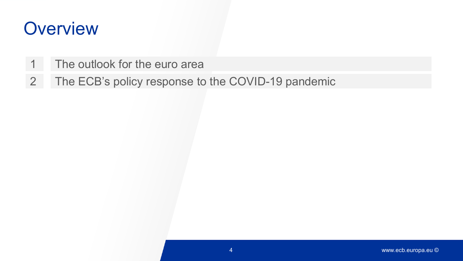# **Overview**

- 1 The outlook for the euro area
- 2 The ECB's policy response to the COVID-19 pandemic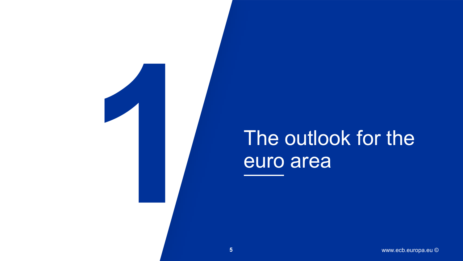

# The outlook for the euro area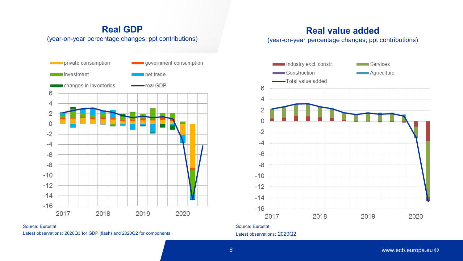#### **Real GDP** (year-on-year percentage changes; ppt contributions)



Source: Eurostat Latest observations: 2020Q3 for GDP (flash) and 2020Q2 for components.

### **Real value added**

(year-on-year percentage changes; ppt contributions)



Latest observations: 2020Q2.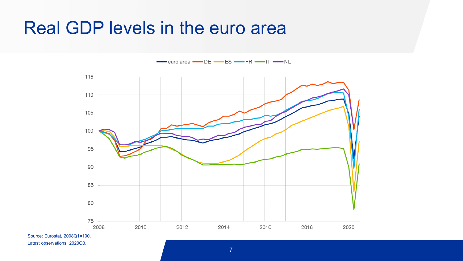## Real GDP levels in the euro area

 $\overline{\phantom{a}}$  euro area  $\overline{\phantom{a}}$  DE  $\overline{\phantom{a}}$  ES  $\overline{\phantom{a}}$  FR  $\overline{\phantom{a}}$  IT  $\overline{\phantom{a}}$  NL



Source: Eurostat, 2008Q1=100. Latest observations: 2020Q3.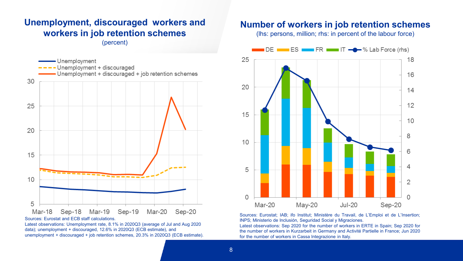### **Unemployment, discouraged workers and workers in job retention schemes**

(percent)



Latest observations: Unemployment rate, 8.1% in 2020Q3 (average of Jul and Aug 2020 data); unemployment + discouraged, 12.6% in 2020Q3 (ECB estimate), and unemployment + discouraged + job retention schemes, 20.3% in 2020Q3 (ECB estimate).

#### **Number of workers in job retention schemes**

(lhs: persons, million; rhs: in percent of the labour force)



Sources: Eurostat; IAB; ifo Institut; Ministère du Travail, de L'Emploi et de L'Insertion; INPS; Ministerio de Inclusión, Seguridad Social y Migraciones.

Latest observations: Sep 2020 for the number of workers in ERTE in Spain; Sep 2020 for the number of workers in Kurzarbeit in Germany and Activité Partielle in France; Jun 2020 for the number of workers in Cassa Integrazione in Italy.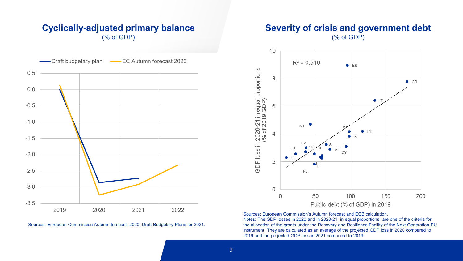#### **Cyclically-adjusted primary balance** (% of GDP)



Sources: European Commission Autumn forecast, 2020; Draft Budgetary Plans for 2021.

#### **Severity of crisis and government debt** (% of GDP)



Sources: European Commission's Autumn forecast and ECB calculation. Notes: The GDP losses in 2020 and in 2020-21, in equal proportions, are one of the criteria for the allocation of the grants under the Recovery and Resilience Facility of the Next Generation EU instrument. They are calculated as an average of the projected GDP loss in 2020 compared to 2019 and the projected GDP loss in 2021 compared to 2019.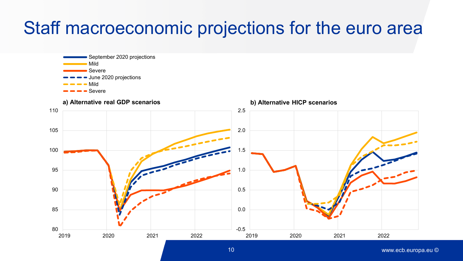# Staff macroeconomic projections for the euro area



www.ecb.europa.eu ©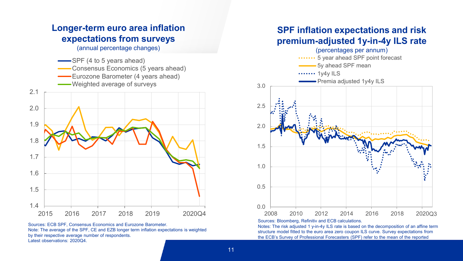

Sources: ECB SPF, Consensus Economics and Eurozone Barometer. Note: The average of the SPF, CE and EZB longer term inflation expectations is weighted by their respective average number of respondents. Latest observations: 2020Q4.

#### **SPF inflation expectations and risk premium-adjusted 1y-in-4y ILS rate**



Sources: Bloomberg, Refinitiv and ECB calculations.

Notes: The risk adjusted 1 y-in-4y ILS rate is based on the decomposition of an affine term structure model fitted to the euro area zero coupon ILS curve. Survey expectations from the ECB's Survey of Professional Forecasters (SPF) refer to the mean of the reported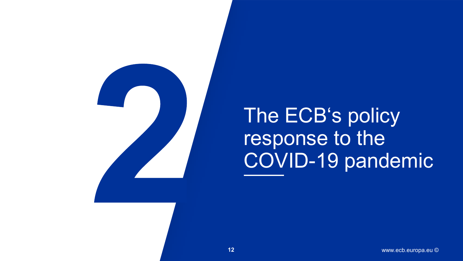

The ECB's policy response to the COVID-19 pandemic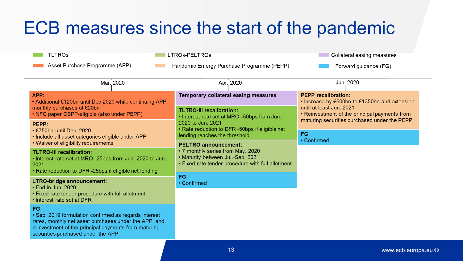# ECB measures since the start of the pandemic

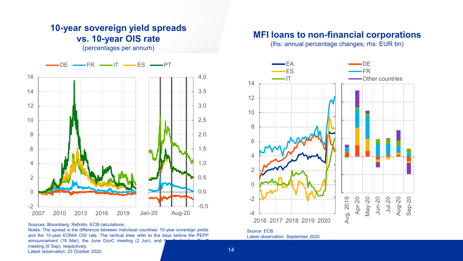

**10-year sovereign yield spreads vs. 10-year OIS rate** (percentages per annum)

Sources: Bloomberg, Refinitiv, ECB calculations.

Notes: The spread is the difference between individual countries' 10-year sovereign yields and the 10-year EONIA OIS rate. The vertical lines refer to the days before the PEPP announcement (18 Mar), the June GovC meeting (2 Jun), and t meeting (8 Sep), respectively. Latest observation: 23 October 2020.

#### **MFI loans to non-financial corporations**

(lhs: annual percentage changes; rhs: EUR bn)



Source: ECB. Latest observation: September 2020.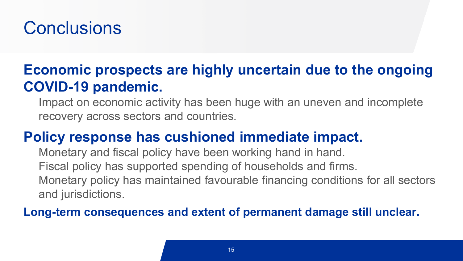# **Conclusions**

### **Economic prospects are highly uncertain due to the ongoing COVID-19 pandemic.**

Impact on economic activity has been huge with an uneven and incomplete recovery across sectors and countries.

### **Policy response has cushioned immediate impact.**

Monetary and fiscal policy have been working hand in hand. Fiscal policy has supported spending of households and firms. Monetary policy has maintained favourable financing conditions for all sectors and jurisdictions.

### **Long-term consequences and extent of permanent damage still unclear.**